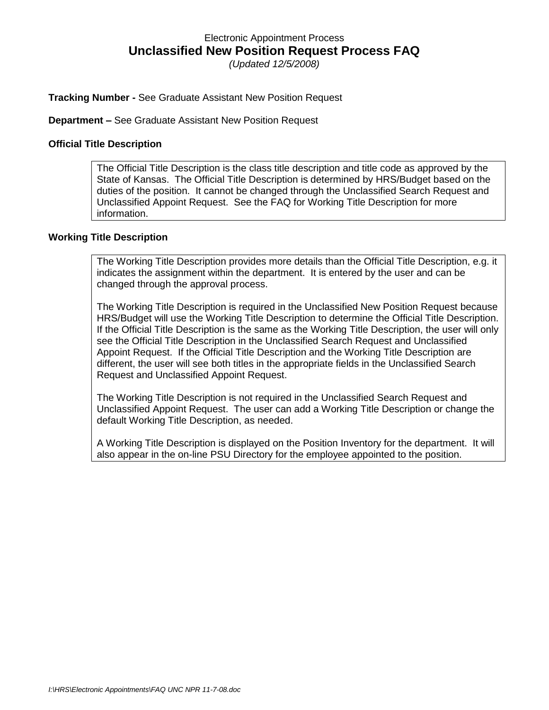## Electronic Appointment Process **Unclassified New Position Request Process FAQ**

*(Updated 12/5/2008)*

#### **Tracking Number -** See Graduate Assistant New Position Request

**Department –** See Graduate Assistant New Position Request

#### **Official Title Description**

The Official Title Description is the class title description and title code as approved by the State of Kansas. The Official Title Description is determined by HRS/Budget based on the duties of the position. It cannot be changed through the Unclassified Search Request and Unclassified Appoint Request. See the FAQ for Working Title Description for more information.

#### **Working Title Description**

The Working Title Description provides more details than the Official Title Description, e.g. it indicates the assignment within the department. It is entered by the user and can be changed through the approval process.

The Working Title Description is required in the Unclassified New Position Request because HRS/Budget will use the Working Title Description to determine the Official Title Description. If the Official Title Description is the same as the Working Title Description, the user will only see the Official Title Description in the Unclassified Search Request and Unclassified Appoint Request. If the Official Title Description and the Working Title Description are different, the user will see both titles in the appropriate fields in the Unclassified Search Request and Unclassified Appoint Request.

The Working Title Description is not required in the Unclassified Search Request and Unclassified Appoint Request. The user can add a Working Title Description or change the default Working Title Description, as needed.

A Working Title Description is displayed on the Position Inventory for the department. It will also appear in the on-line PSU Directory for the employee appointed to the position.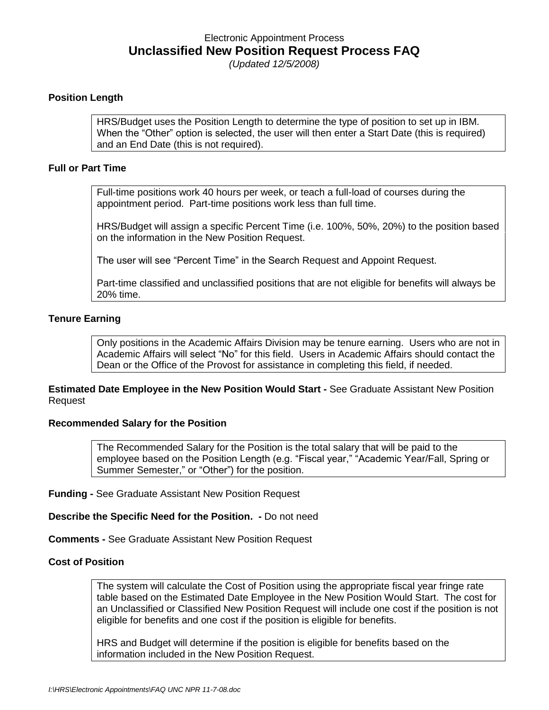### Electronic Appointment Process **Unclassified New Position Request Process FAQ** *(Updated 12/5/2008)*

#### **Position Length**

HRS/Budget uses the Position Length to determine the type of position to set up in IBM. When the "Other" option is selected, the user will then enter a Start Date (this is required) and an End Date (this is not required).

#### **Full or Part Time**

Full-time positions work 40 hours per week, or teach a full-load of courses during the appointment period. Part-time positions work less than full time.

HRS/Budget will assign a specific Percent Time (i.e. 100%, 50%, 20%) to the position based on the information in the New Position Request.

The user will see "Percent Time" in the Search Request and Appoint Request.

Part-time classified and unclassified positions that are not eligible for benefits will always be 20% time.

#### **Tenure Earning**

Only positions in the Academic Affairs Division may be tenure earning. Users who are not in Academic Affairs will select "No" for this field. Users in Academic Affairs should contact the Dean or the Office of the Provost for assistance in completing this field, if needed.

**Estimated Date Employee in the New Position Would Start -** See Graduate Assistant New Position Request

#### **Recommended Salary for the Position**

The Recommended Salary for the Position is the total salary that will be paid to the employee based on the Position Length (e.g. "Fiscal year," "Academic Year/Fall, Spring or Summer Semester," or "Other") for the position.

**Funding -** See Graduate Assistant New Position Request

**Describe the Specific Need for the Position. -** Do not need

**Comments -** See Graduate Assistant New Position Request

#### **Cost of Position**

The system will calculate the Cost of Position using the appropriate fiscal year fringe rate table based on the Estimated Date Employee in the New Position Would Start. The cost for an Unclassified or Classified New Position Request will include one cost if the position is not eligible for benefits and one cost if the position is eligible for benefits.

HRS and Budget will determine if the position is eligible for benefits based on the information included in the New Position Request.